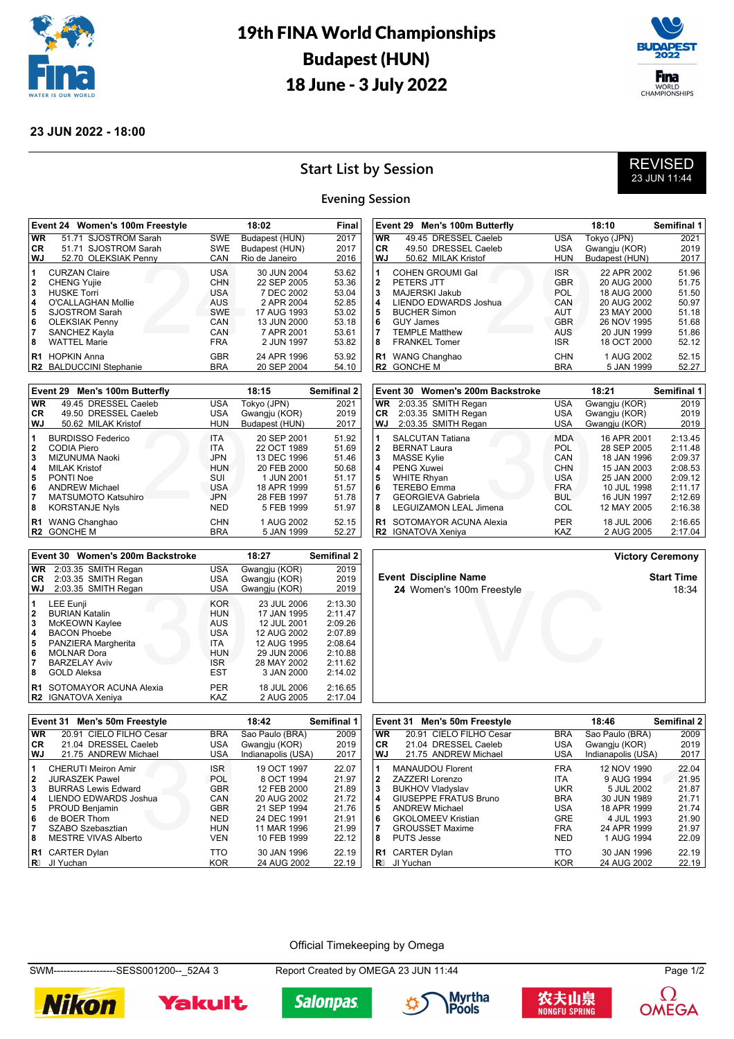

# 19th FINA World Championships Budapest (HUN) 18 June - 3 July 2022



#### **23 JUN 2022 - 18:00**

## **Start List by Session**



#### **Evening Session**

|                              | Event 24 Women's 100m Freestyle                               |                          | Final                                   |                         |
|------------------------------|---------------------------------------------------------------|--------------------------|-----------------------------------------|-------------------------|
| <b>WR</b>                    | 51.71 SJOSTROM Sarah                                          | <b>SWE</b>               | Budapest (HUN)                          | 2017                    |
| CR.                          | 51.71 SJOSTROM Sarah                                          | <b>SWE</b>               | Budapest (HUN)                          | 2017                    |
| <b>WJ</b>                    | 52.70 OLEKSIAK Penny                                          | CAN                      | Rio de Janeiro                          | 2016                    |
| 1<br>$\mathbf{2}$            | <b>CURZAN Claire</b><br><b>CHENG Yujie</b>                    | <b>USA</b><br>CHN        | 30 JUN 2004<br>22 SEP 2005              | 53.62<br>53.36          |
| 3<br>$\overline{\mathbf{4}}$ | <b>HUSKE Torri</b><br>O'CALLAGHAN Mollie                      | <b>USA</b><br><b>AUS</b> | 7 DEC 2002<br>2 APR 2004                | 53.04<br>52.85          |
| 5                            | <b>SJOSTROM Sarah</b>                                         | <b>SWE</b>               | 17 AUG 1993                             | 53.02                   |
| 6<br>$\overline{7}$<br>8     | <b>OLEKSIAK Penny</b><br>SANCHEZ Kayla<br><b>WATTEL Marie</b> | CAN<br>CAN<br><b>FRA</b> | 13 JUN 2000<br>7 APR 2001<br>2 JUN 1997 | 53.18<br>53.61<br>53.82 |
| R1                           | <b>HOPKIN Anna</b><br>R2 BALDUCCINI Stephanie                 | <b>GBR</b><br><b>BRA</b> | 24 APR 1996<br>20 SEP 2004              | 53.92<br>54.10          |

|                      | Event 29 Men's 100m Butterfly    |                   | 18:15                    | <b>Semifinal 2</b> |
|----------------------|----------------------------------|-------------------|--------------------------|--------------------|
| <b>WR</b>            | 49.45 DRESSEL Caeleb             | <b>USA</b>        | Tokyo (JPN)              | 2021               |
| CR                   | 49.50 DRESSEL Caeleb             | <b>USA</b>        | Gwangju (KOR)            | 2019               |
| WJ                   | 50.62 MILAK Kristof              | <b>HUN</b>        | Budapest (HUN)           | 2017               |
| 1                    | <b>BURDISSO Federico</b>         | <b>ITA</b>        | 20 SEP 2001              | 51.92              |
| $\mathbf{2}$         | CODIA Piero                      | <b>ITA</b>        | 22 OCT 1989              | 51.69              |
| 3                    | MIZUNUMA Naoki                   | <b>JPN</b>        | 13 DEC 1996              | 51.46              |
| 4                    | <b>MILAK Kristof</b>             | <b>HUN</b>        | 20 FEB 2000              | 50.68              |
| 5                    | PONTI Noe                        | SUI               | 1 JUN 2001               | 51.17              |
| 6                    | <b>ANDREW Michael</b>            | <b>USA</b>        | 18 APR 1999              | 51.57              |
| 7                    | <b>MATSUMOTO Katsuhiro</b>       | <b>JPN</b>        | 28 FEB 1997              | 51.78              |
| 8                    | <b>KORSTANJE Nyls</b>            | <b>NED</b>        | 5 FEB 1999               | 51.97              |
| R1<br>R <sub>2</sub> | WANG Changhao<br><b>GONCHE M</b> | CHN<br><b>BRA</b> | 1 AUG 2002<br>5 JAN 1999 | 52.15<br>52.27     |

| VVJ          | 50.62 MILAK Kristof              | HUN        | Budapest (HUN) | 2017        |
|--------------|----------------------------------|------------|----------------|-------------|
| 1            | <b>COHEN GROUMI Gal</b>          | ISR.       | 22 APR 2002    | 51.96       |
| 2            | PETERS JTT                       | <b>GBR</b> | 20 AUG 2000    | 51.75       |
| 3            | MAJERSKI Jakub                   | POL.       | 18 AUG 2000    | 51.50       |
| 4            | <b>LIENDO EDWARDS Joshua</b>     | CAN        | 20 AUG 2002    | 50.97       |
| 5            | <b>BUCHER Simon</b>              | AUT        | 23 MAY 2000    | 51.18       |
| 6            | <b>GUY James</b>                 | <b>GBR</b> | 26 NOV 1995    | 51.68       |
| 7            | <b>TEMPLE Matthew</b>            | <b>AUS</b> | 20 JUN 1999    | 51.86       |
| 8            | <b>FRANKEL Tomer</b>             | ISR        | 18 OCT 2000    | 52.12       |
| R1           | WANG Changhao                    | <b>CHN</b> | 1 AUG 2002     | 52.15       |
| R2           | <b>GONCHE M</b>                  | <b>BRA</b> | 5 JAN 1999     | 52.27       |
|              |                                  |            |                |             |
|              | Event 30 Women's 200m Backstroke |            | 18:21          | Semifinal 1 |
| WR.          | 2:03.35 SMITH Regan              | USA        | Gwangju (KOR)  | 2019        |
| CR           | 2:03.35 SMITH Regan              | USA.       | Gwangju (KOR)  | 2019        |
| WJ           | 2:03.35 SMITH Regan              | <b>USA</b> | Gwangju (KOR)  | 2019        |
| 1            | <b>SALCUTAN Tatiana</b>          | <b>MDA</b> | 16 APR 2001    | 2:13.45     |
| $\mathbf{2}$ | <b>BERNAT Laura</b>              | <b>POL</b> | 28 SEP 2005    | 2:11.48     |
|              |                                  |            |                | -- --       |

**Event 29 Men's 100m Butterfly 18:10 Semifinal 1 WR** 49.45 DRESSEL Caeleb USA Tokyo (JPN) 2021 **CR** 49.50 DRESSEL Caeleb USA Gwangju (KOR) 2019<br>**WJ** 50.62 MILAK Kristof HUN Budapest (HUN) 2017

| VVJ          | 2:03.35 SMITH Regan           | USA        | Gwangju (KOR) | ∠∪া∀    |
|--------------|-------------------------------|------------|---------------|---------|
| 1            | <b>SALCUTAN Tatiana</b>       | <b>MDA</b> | 16 APR 2001   | 2:13.45 |
| $\mathbf{2}$ | <b>BERNAT Laura</b>           | <b>POL</b> | 28 SEP 2005   | 2:11.48 |
| 3            | <b>MASSE Kylie</b>            | CAN        | 18 JAN 1996   | 2:09.37 |
| 4            | <b>PENG Xuwei</b>             | <b>CHN</b> | 15 JAN 2003   | 2:08.53 |
| 5            | <b>WHITE Rhyan</b>            | <b>USA</b> | 25 JAN 2000   | 2:09.12 |
| 6            | <b>TEREBO Emma</b>            | <b>FRA</b> | 10 JUL 1998   | 2:11.17 |
| 7            | <b>GEORGIEVA Gabriela</b>     | BUL.       | 16 JUN 1997   | 2:12.69 |
| 8            | <b>LEGUIZAMON LEAL Jimena</b> | COL        | 12 MAY 2005   | 2:16.38 |
|              | R1 SOTOMAYOR ACUNA Alexia     | <b>PER</b> | 18 JUL 2006   | 2:16.65 |
|              | R2 IGNATOVA Xeniya            | <b>KAZ</b> | 2 AUG 2005    | 2:17.04 |

|    | Event 30 Women's 200m Backstroke |            | 18:27         | <b>Semifinal 2</b> |
|----|----------------------------------|------------|---------------|--------------------|
|    | $WR$ 2:03.35 SMITH Regan         | <b>USA</b> | Gwangju (KOR) | 2019               |
| CR | 2:03.35 SMITH Regan              | <b>USA</b> | Gwangju (KOR) | 2019               |
| WJ | 2:03.35 SMITH Regan              | <b>USA</b> | Gwangju (KOR) | 2019               |
| 1. | <b>LEE Eunii</b>                 | <b>KOR</b> | 23 JUL 2006   | 2:13.30            |
| 2. | <b>BURIAN Katalin</b>            | <b>HUN</b> | 17 JAN 1995   | 2:11.47            |
| 3. | McKEOWN Kaylee                   | <b>AUS</b> | 12 JUL 2001   | 2:09.26            |
| 4  | <b>BACON Phoebe</b>              | <b>USA</b> | 12 AUG 2002   | 2:07.89            |
| 5  | PANZIERA Margherita              | ITA.       | 12 AUG 1995   | 2:08.64            |
| 6  | <b>MOLNAR Dora</b>               | <b>HUN</b> | 29 JUN 2006   | 2:10.88            |
| 7  | <b>BARZELAY Aviv</b>             | ISR.       | 28 MAY 2002   | 2:11.62            |
| 8  | <b>GOLD Aleksa</b>               | <b>EST</b> | 3 JAN 2000    | 2:14.02            |
| R1 | SOTOMAYOR ACUNA Alexia           | <b>PER</b> | 18 JUL 2006   | 2:16.65            |
|    | R2 IGNATOVA Xeniya               | <b>KAZ</b> | 2 AUG 2005    | 2:17.04            |

| <b>Event Discipline Na</b> |  |
|----------------------------|--|

m Freestyle<br>
Verwysing<br>
Verwysing<br>
Verwysing<br>
Verwysing<br>
Verwysing<br>
Verwysing<br>
Verwysing<br>
Verwysing<br>
Verwysing<br>
Verwysing<br>
Verwysing<br>
Verwysing<br>
Verwysing<br>
Verwysing<br>
Verwysing<br>
Verwysing<br>
Verwysing<br>
Verwysing<br>
Verwysing<br> **Event Discipline Name Start Time 24** Women's 100m Freestyle

50.62 MILAK Kristof

**Victory Ceremony**

|           | Event 31 Men's 50m Freestyle |            | 18:42              | Semifinal 1 |
|-----------|------------------------------|------------|--------------------|-------------|
| <b>WR</b> | 20.91 CIELO FILHO Cesar      | <b>BRA</b> | Sao Paulo (BRA)    | 2009        |
| CR        | 21.04 DRESSEL Caeleb         | USA        | Gwangju (KOR)      | 2019        |
| WJ        | 21.75 ANDREW Michael         | <b>USA</b> | Indianapolis (USA) | 2017        |
| 1         | <b>CHERUTI Meiron Amir</b>   | <b>ISR</b> | 19 OCT 1997        | 22.07       |
| 2         | <b>JURASZEK Pawel</b>        | <b>POL</b> | 8 OCT 1994         | 21.97       |
| 3         | <b>BURRAS Lewis Edward</b>   | <b>GBR</b> | 12 FEB 2000        | 21.89       |
| 4         | LIENDO EDWARDS Joshua        | CAN        | 20 AUG 2002        | 21.72       |
| 5         | PROUD Benjamin               | <b>GBR</b> | 21 SEP 1994        | 21.76       |
| 6         | de BOER Thom                 | <b>NED</b> | 24 DEC 1991        | 21.91       |
| 7         | SZABO Szebasztian            | <b>HUN</b> | 11 MAR 1996        | 21.99       |
| 8         | <b>MESTRE VIVAS Alberto</b>  | <b>VEN</b> | 10 FEB 1999        | 22.12       |
|           | R1 CARTER Dylan              | TTO        | 30 JAN 1996        | 22.19       |
|           | R& JI Yuchan                 | <b>KOR</b> | 24 AUG 2002        | 22.19       |

|              | Event 31 Men's 50m Freestyle |            | 18:46              | Semifinal 2 |
|--------------|------------------------------|------------|--------------------|-------------|
| <b>WR</b>    | 20.91 CIELO FILHO Cesar      | <b>BRA</b> | Sao Paulo (BRA)    | 2009        |
| CR.          | 21.04 DRESSEL Caeleb         | <b>USA</b> | Gwangju (KOR)      | 2019        |
| WJ           | 21.75 ANDREW Michael         | USA        | Indianapolis (USA) | 2017        |
| 1            | <b>MANAUDOU Florent</b>      | <b>FRA</b> | 12 NOV 1990        | 22.04       |
| $\mathbf{2}$ | ZAZZERI Lorenzo              | <b>ITA</b> | 9 AUG 1994         | 21.95       |
| 3            | <b>BUKHOV Vladyslav</b>      | <b>UKR</b> | 5 JUL 2002         | 21.87       |
| 4            | GIUSEPPE FRATUS Bruno        | <b>BRA</b> | 30 JUN 1989        | 21.71       |
| 5            | <b>ANDREW Michael</b>        | USA        | 18 APR 1999        | 21.74       |
| 6            | <b>GKOLOMEEV Kristian</b>    | GRE        | 4 JUL 1993         | 21.90       |
| 7            | <b>GROUSSET Maxime</b>       | <b>FRA</b> | 24 APR 1999        | 21.97       |
| 8            | <b>PUTS Jesse</b>            | <b>NED</b> | 1 AUG 1994         | 22.09       |
| R1           | <b>CARTER Dylan</b>          | TTO        | 30 JAN 1996        | 22.19       |
|              | R& JI Yuchan                 | KOR        | 24 AUG 2002        | 22.19       |

#### Official Timekeeping by Omega

SWM-------------------SESS001200--\_52A4 3 Report Created by OMEGA 23 JUN 11:44 Page 1/2